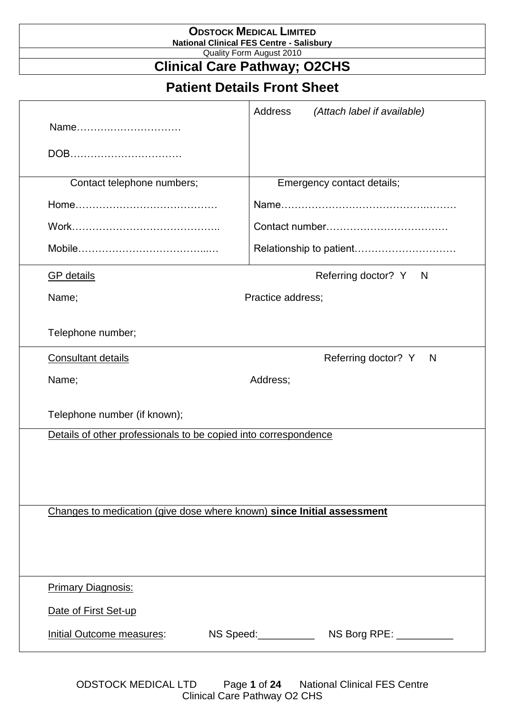|                                                                        | <b>ODSTOCK MEDICAL LIMITED</b><br><b>National Clinical FES Centre - Salisbury</b> |  |  |  |
|------------------------------------------------------------------------|-----------------------------------------------------------------------------------|--|--|--|
|                                                                        | Quality Form August 2010<br><b>Clinical Care Pathway; O2CHS</b>                   |  |  |  |
|                                                                        | <b>Patient Details Front Sheet</b>                                                |  |  |  |
| Name                                                                   | Address<br>(Attach label if available)                                            |  |  |  |
| DOB                                                                    |                                                                                   |  |  |  |
| Contact telephone numbers;                                             | Emergency contact details;                                                        |  |  |  |
|                                                                        |                                                                                   |  |  |  |
|                                                                        |                                                                                   |  |  |  |
|                                                                        |                                                                                   |  |  |  |
| <b>GP</b> details                                                      | Referring doctor? Y N                                                             |  |  |  |
| Name;                                                                  | Practice address;                                                                 |  |  |  |
| Telephone number;                                                      |                                                                                   |  |  |  |
| <b>Consultant details</b>                                              | Referring doctor? Y<br>N                                                          |  |  |  |
| Name;<br>Address;                                                      |                                                                                   |  |  |  |
| Telephone number (if known);                                           |                                                                                   |  |  |  |
| Details of other professionals to be copied into correspondence        |                                                                                   |  |  |  |
|                                                                        |                                                                                   |  |  |  |
|                                                                        |                                                                                   |  |  |  |
| Changes to medication (give dose where known) since Initial assessment |                                                                                   |  |  |  |
|                                                                        |                                                                                   |  |  |  |
|                                                                        |                                                                                   |  |  |  |
| <b>Primary Diagnosis:</b>                                              |                                                                                   |  |  |  |
|                                                                        |                                                                                   |  |  |  |
| Date of First Set-up                                                   |                                                                                   |  |  |  |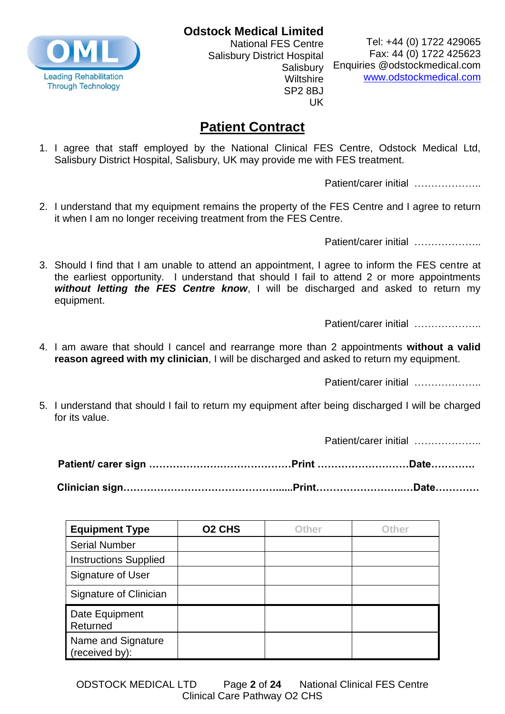**Odstock Medical Limited**



National FES Centre Salisbury District Hospital **Salisbury Wiltshire** SP2 8BJ UK

Tel: +44 (0) 1722 429065 Fax: 44 (0) 1722 425623 Enquiries @odstockmedical.com [www.odstockmedical.com](http://www.odstockmedical.com/)

### **Patient Contract**

1. I agree that staff employed by the National Clinical FES Centre, Odstock Medical Ltd, Salisbury District Hospital, Salisbury, UK may provide me with FES treatment.

Patient/carer initial …………………

2. I understand that my equipment remains the property of the FES Centre and I agree to return it when I am no longer receiving treatment from the FES Centre.

Patient/carer initial …………………

3. Should I find that I am unable to attend an appointment, I agree to inform the FES centre at the earliest opportunity. I understand that should I fail to attend 2 or more appointments *without letting the FES Centre know*, I will be discharged and asked to return my equipment.

Patient/carer initial …………………

4. I am aware that should I cancel and rearrange more than 2 appointments **without a valid reason agreed with my clinician**, I will be discharged and asked to return my equipment.

Patient/carer initial …………………

5. I understand that should I fail to return my equipment after being discharged I will be charged for its value.

Patient/carer initial …………………

| <b>Equipment Type</b>                | <b>O2 CHS</b> | <b>Other</b> | Other |
|--------------------------------------|---------------|--------------|-------|
| <b>Serial Number</b>                 |               |              |       |
| <b>Instructions Supplied</b>         |               |              |       |
| Signature of User                    |               |              |       |
| Signature of Clinician               |               |              |       |
| Date Equipment<br>Returned           |               |              |       |
| Name and Signature<br>(received by): |               |              |       |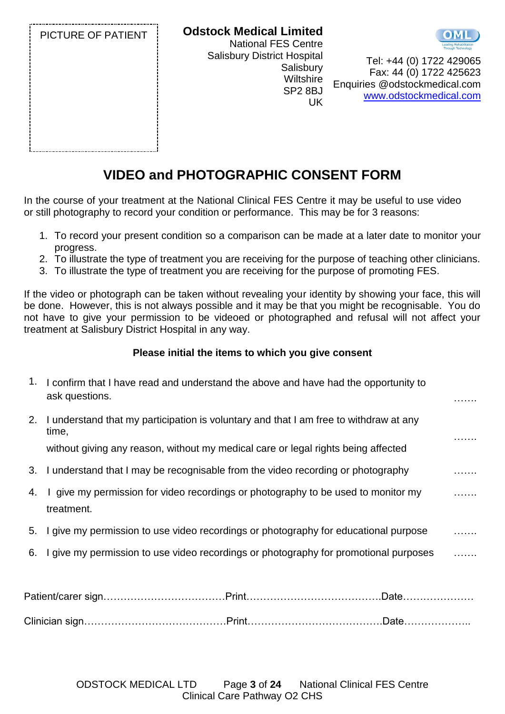

## **VIDEO and PHOTOGRAPHIC CONSENT FORM**

In the course of your treatment at the National Clinical FES Centre it may be useful to use video or still photography to record your condition or performance. This may be for 3 reasons:

- 1. To record your present condition so a comparison can be made at a later date to monitor your progress.
- 2. To illustrate the type of treatment you are receiving for the purpose of teaching other clinicians.
- 3. To illustrate the type of treatment you are receiving for the purpose of promoting FES.

If the video or photograph can be taken without revealing your identity by showing your face, this will be done. However, this is not always possible and it may be that you might be recognisable. You do not have to give your permission to be videoed or photographed and refusal will not affect your treatment at Salisbury District Hospital in any way.

#### **Please initial the items to which you give consent**

| 1. | I confirm that I have read and understand the above and have had the opportunity to<br>ask questions. |  |
|----|-------------------------------------------------------------------------------------------------------|--|
| 2. | I understand that my participation is voluntary and that I am free to withdraw at any<br>time,        |  |
|    | without giving any reason, without my medical care or legal rights being affected                     |  |
| 3. | I understand that I may be recognisable from the video recording or photography                       |  |
| 4. | I give my permission for video recordings or photography to be used to monitor my<br>treatment.       |  |
| 5. | I give my permission to use video recordings or photography for educational purpose                   |  |
| 6. | I give my permission to use video recordings or photography for promotional purposes                  |  |
|    |                                                                                                       |  |

Clinician sign……………………………………Print………………………………….Date………………..

ODSTOCK MEDICAL LTD Page **3** of **24** National Clinical FES Centre Clinical Care Pathway O2 CHS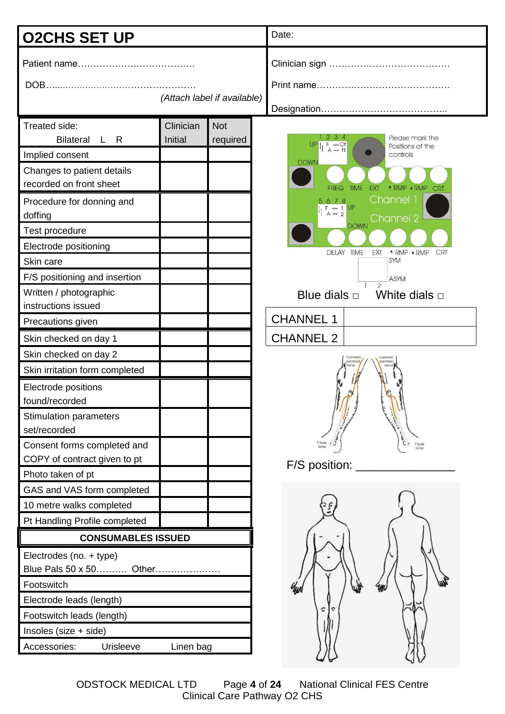| <b>O2CHS SET UP</b>                                                                                                                                                                                                                                                                                                                                                                                                                                                                                                                                                                                                                                                                      |                             |                        | Date:                                                                                                                                                                                                                                                                                                                                                                                                                                                                                                                                                                                                                                                                         |  |
|------------------------------------------------------------------------------------------------------------------------------------------------------------------------------------------------------------------------------------------------------------------------------------------------------------------------------------------------------------------------------------------------------------------------------------------------------------------------------------------------------------------------------------------------------------------------------------------------------------------------------------------------------------------------------------------|-----------------------------|------------------------|-------------------------------------------------------------------------------------------------------------------------------------------------------------------------------------------------------------------------------------------------------------------------------------------------------------------------------------------------------------------------------------------------------------------------------------------------------------------------------------------------------------------------------------------------------------------------------------------------------------------------------------------------------------------------------|--|
| (Attach label if available)                                                                                                                                                                                                                                                                                                                                                                                                                                                                                                                                                                                                                                                              |                             |                        |                                                                                                                                                                                                                                                                                                                                                                                                                                                                                                                                                                                                                                                                               |  |
| Treated side:<br><b>Bilateral</b><br>L R<br>Implied consent<br>Changes to patient details<br>recorded on front sheet<br>Procedure for donning and<br>doffing<br>Test procedure<br>Electrode positioning<br>Skin care<br>F/S positioning and insertion<br>Written / photographic<br>instructions issued<br>Precautions given<br>Skin checked on day 1<br>Skin checked on day 2<br>Skin irritation form completed<br>Electrode positions<br>found/recorded<br><b>Stimulation parameters</b><br>set/recorded<br>Consent forms completed and<br>COPY of contract given to pt<br>Photo taken of pt<br>GAS and VAS form completed<br>10 metre walks completed<br>Pt Handling Profile completed | Clinician<br><b>Initial</b> | <b>Not</b><br>required | 2 3 4<br>Please mark the<br>$\begin{array}{c} I \upharpoonright \stackrel{\mathsf{F}}{\mathsf{A}} \stackrel{\mathsf{a.s.}}{\rightharpoonup} \mathsf{N} \end{array}$<br><b>UP</b><br>Positions of the<br>controls<br><b>DOWN</b><br>↑ RMP ♦ RMP<br><b>TIME</b><br><b>EXT</b><br><b>FREQ</b><br><b>CRT</b><br>Channel 1<br>5678<br>$\begin{array}{c}\nF \rightarrow 1 \\ A-2\n\end{array}$<br>Channel 2<br><b>DOWN</b><br>DELAY TIME<br>EXT<br>↑ RMP VRMP<br><b>CRT</b><br><b>SYM</b><br><b>ASYM</b><br>$\overline{2}$<br>Blue dials $\Box$<br>White dials $\Box$<br><b>CHANNEL 1</b><br><b>CHANNEL 2</b><br>Common<br>Common<br>peronea<br>Fibula<br>Fibula<br>$F/S$ position: |  |
| <b>CONSUMABLES ISSUED</b><br>Electrodes (no. + type)<br>Blue Pals 50 x 50 Other<br>Footswitch<br>Electrode leads (length)<br>Footswitch leads (length)<br>Insoles (size + side)<br>Accessories:<br>Urisleeve                                                                                                                                                                                                                                                                                                                                                                                                                                                                             | Linen bag                   |                        | c<br>¢                                                                                                                                                                                                                                                                                                                                                                                                                                                                                                                                                                                                                                                                        |  |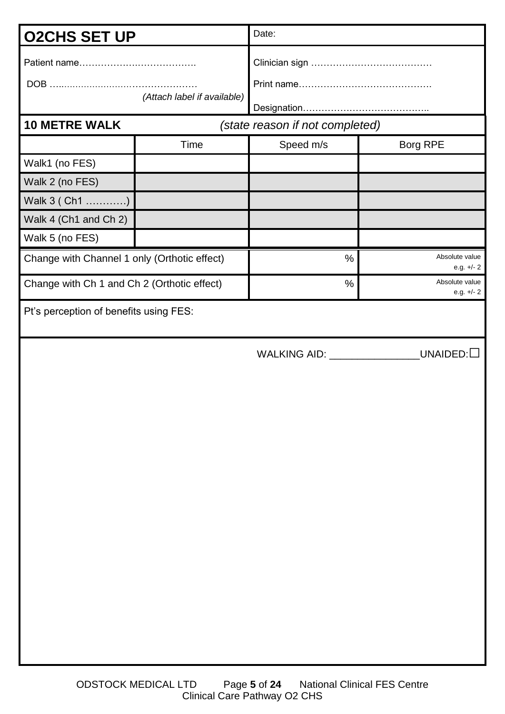| <b>O2CHS SET UP</b>                          |                             | Date:                           |                                |
|----------------------------------------------|-----------------------------|---------------------------------|--------------------------------|
|                                              | (Attach label if available) |                                 |                                |
| <b>10 METRE WALK</b>                         |                             | (state reason if not completed) |                                |
|                                              | Time                        | Speed m/s                       | Borg RPE                       |
| Walk1 (no FES)                               |                             |                                 |                                |
| Walk 2 (no FES)                              |                             |                                 |                                |
| Walk 3 (Ch1 )                                |                             |                                 |                                |
| Walk 4 (Ch1 and Ch 2)                        |                             |                                 |                                |
| Walk 5 (no FES)                              |                             |                                 |                                |
| Change with Channel 1 only (Orthotic effect) |                             | $\frac{0}{0}$                   | Absolute value<br>e.g. $+/- 2$ |
| Change with Ch 1 and Ch 2 (Orthotic effect)  |                             | $\%$                            | Absolute value<br>e.g. $+/- 2$ |
| Pt's perception of benefits using FES:       |                             |                                 |                                |
|                                              |                             | WALKING AID: _________________  | $\_$ UNAIDED: $\Box$           |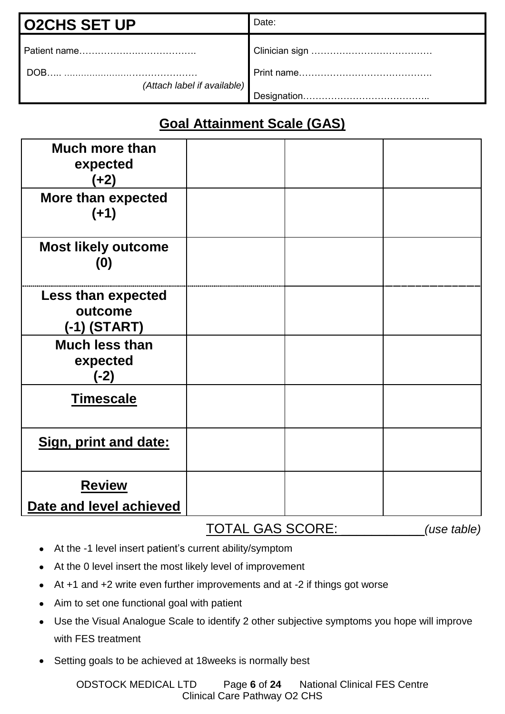| <b>O2CHS SET UP</b>                 | Date: |
|-------------------------------------|-------|
|                                     |       |
| DOB.<br>(Attach label if available) |       |
|                                     |       |

# **Goal Attainment Scale (GAS)**

| <b>Much more than</b><br>expected<br>$(+2)$     |  |  |
|-------------------------------------------------|--|--|
| More than expected<br>$(+1)$                    |  |  |
| <b>Most likely outcome</b><br>(0)               |  |  |
| Less than expected<br>outcome<br>$(-1)$ (START) |  |  |
| <b>Much less than</b><br>expected<br>$(-2)$     |  |  |
| <b>Timescale</b>                                |  |  |
| Sign, print and date:                           |  |  |
| <b>Review</b><br>Date and level achieved        |  |  |

#### TOTAL GAS SCORE: \_\_\_\_\_\_\_\_\_\_\_*(use table)*

- At the -1 level insert patient's current ability/symptom
- At the 0 level insert the most likely level of improvement
- At +1 and +2 write even further improvements and at -2 if things got worse
- Aim to set one functional goal with patient
- Use the Visual Analogue Scale to identify 2 other subjective symptoms you hope will improve with FES treatment
- Setting goals to be achieved at 18weeks is normally best

ODSTOCK MEDICAL LTD Page **6** of **24** National Clinical FES Centre Clinical Care Pathway O2 CHS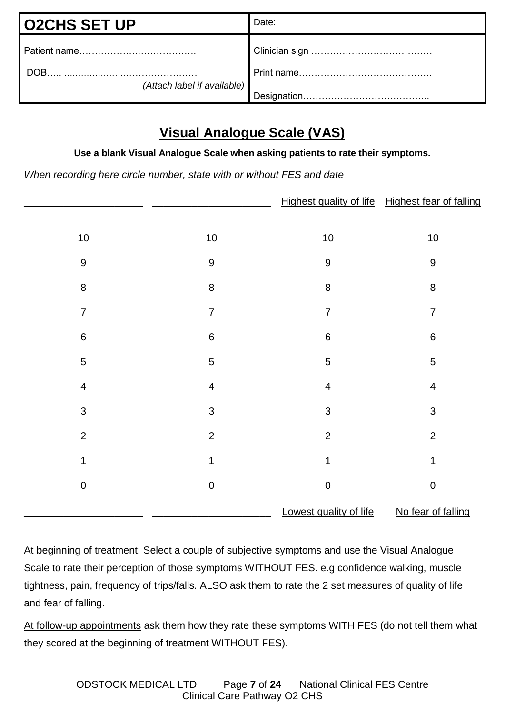| <b>O2CHS SET UP</b>                 | Date:        |
|-------------------------------------|--------------|
|                                     |              |
| DOB.<br>(Attach label if available) |              |
|                                     | Designation. |

## **Visual Analogue Scale (VAS)**

**Use a blank Visual Analogue Scale when asking patients to rate their symptoms.**

*When recording here circle number, state with or without FES and date*

|                         |                         | Highest quality of life Highest fear of falling |                          |
|-------------------------|-------------------------|-------------------------------------------------|--------------------------|
|                         |                         |                                                 |                          |
| $10$                    | $10$                    | $10$                                            | $10$                     |
| $\boldsymbol{9}$        | $\boldsymbol{9}$        | $\boldsymbol{9}$                                | $\boldsymbol{9}$         |
| $\,8\,$                 | $\bf 8$                 | $\bf 8$                                         | $\bf 8$                  |
| $\overline{7}$          | $\overline{7}$          | $\overline{7}$                                  | $\overline{7}$           |
| $\,6$                   | $\,6$                   | $\,6\,$                                         | $\,6\,$                  |
| $\mathbf 5$             | $\sqrt{5}$              | $\mathbf 5$                                     | $\sqrt{5}$               |
| $\overline{\mathbf{4}}$ | $\overline{\mathbf{4}}$ | $\overline{\mathbf{4}}$                         | $\overline{\mathcal{A}}$ |
| 3                       | $\mathfrak{S}$          | $\mathfrak{S}$                                  | $\mathfrak{S}$           |
| $\overline{2}$          | $\overline{2}$          | $\overline{2}$                                  | $\overline{2}$           |
| 1                       | 1                       | 1                                               | 1                        |
| $\pmb{0}$               | $\mathbf 0$             | $\pmb{0}$                                       | $\boldsymbol{0}$         |
|                         |                         | Lowest quality of life                          | No fear of falling       |

At beginning of treatment: Select a couple of subjective symptoms and use the Visual Analogue Scale to rate their perception of those symptoms WITHOUT FES. e.g confidence walking, muscle tightness, pain, frequency of trips/falls. ALSO ask them to rate the 2 set measures of quality of life and fear of falling.

At follow-up appointments ask them how they rate these symptoms WITH FES (do not tell them what they scored at the beginning of treatment WITHOUT FES).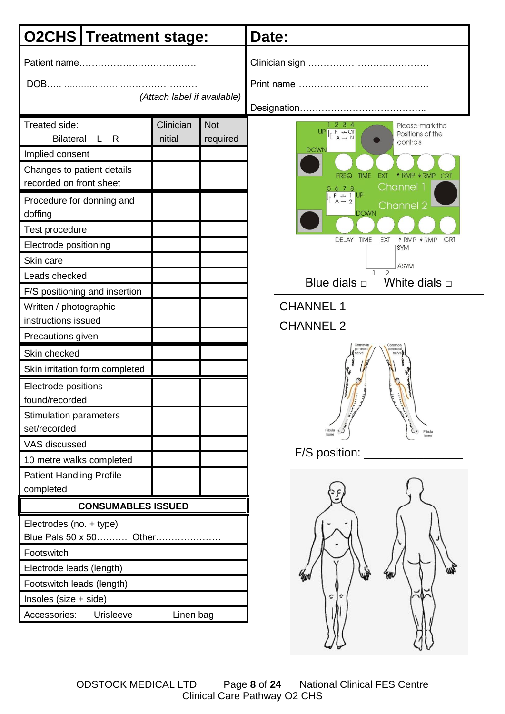| <b>O2CHS</b> Treatment stage:                                                                                                                                                                                                                                                                                                  |                      |                        | Date:                                                                                                                                                                                                                                                                                                                                                                                                                                                                                                                                                                                                                                                                                                                            |  |
|--------------------------------------------------------------------------------------------------------------------------------------------------------------------------------------------------------------------------------------------------------------------------------------------------------------------------------|----------------------|------------------------|----------------------------------------------------------------------------------------------------------------------------------------------------------------------------------------------------------------------------------------------------------------------------------------------------------------------------------------------------------------------------------------------------------------------------------------------------------------------------------------------------------------------------------------------------------------------------------------------------------------------------------------------------------------------------------------------------------------------------------|--|
| (Attach label if available)                                                                                                                                                                                                                                                                                                    |                      |                        |                                                                                                                                                                                                                                                                                                                                                                                                                                                                                                                                                                                                                                                                                                                                  |  |
| Treated side:<br><b>Bilateral</b><br>L R<br>Implied consent<br>Changes to patient details<br>recorded on front sheet<br>Procedure for donning and<br>doffing<br><b>Test procedure</b><br>Electrode positioning<br>Skin care<br>Leads checked<br>F/S positioning and insertion<br>Written / photographic<br>instructions issued | Clinician<br>Initial | <b>Not</b><br>required | 2 3 4<br>Please mark the<br>$\frac{1}{2}$ $\frac{1}{2}$ $\frac{1}{2}$ $\frac{1}{2}$ $\frac{1}{2}$ $\frac{1}{2}$ $\frac{1}{2}$ $\frac{1}{2}$ $\frac{1}{2}$ $\frac{1}{2}$ $\frac{1}{2}$ $\frac{1}{2}$ $\frac{1}{2}$ $\frac{1}{2}$ $\frac{1}{2}$ $\frac{1}{2}$ $\frac{1}{2}$ $\frac{1}{2}$ $\frac{1}{2}$ $\frac{1}{2}$ $\frac{1}{2}$ $\frac{1}{2}$<br>Positions of the<br>controls<br><b>DOWN</b><br>↑ RMP ♦ RMP CRT<br><b>EXT</b><br><b>TIME</b><br>FREQ<br>Channel 1<br>5678<br>$F \rightarrow 1$ $A \rightarrow 2$ UP<br>Channel 2<br><b>DOWN</b><br>EXT<br>DELAY TIME<br>↑ RMP VRMP<br><b>CRT</b><br><b>SYM</b><br>ASYM<br>$\overline{2}$<br>White dials $\square$<br>Blue dials $\Box$<br><b>CHANNEL 1</b><br><b>CHANNEL 2</b> |  |
| Precautions given<br>Skin checked<br>Skin irritation form completed<br>Electrode positions<br>found/recorded<br><b>Stimulation parameters</b><br>set/recorded<br>VAS discussed<br>10 metre walks completed                                                                                                                     |                      |                        | Commo<br>Fibula 4<br>Fibula<br>F/S position:                                                                                                                                                                                                                                                                                                                                                                                                                                                                                                                                                                                                                                                                                     |  |
| <b>Patient Handling Profile</b><br>completed<br><b>CONSUMABLES ISSUED</b><br>Electrodes (no. + type)<br>Blue Pals 50 x 50 Other<br>Footswitch<br>Electrode leads (length)<br>Footswitch leads (length)<br>Insoles (size + side)<br>Accessories:<br>Urisleeve                                                                   | Linen bag            |                        |                                                                                                                                                                                                                                                                                                                                                                                                                                                                                                                                                                                                                                                                                                                                  |  |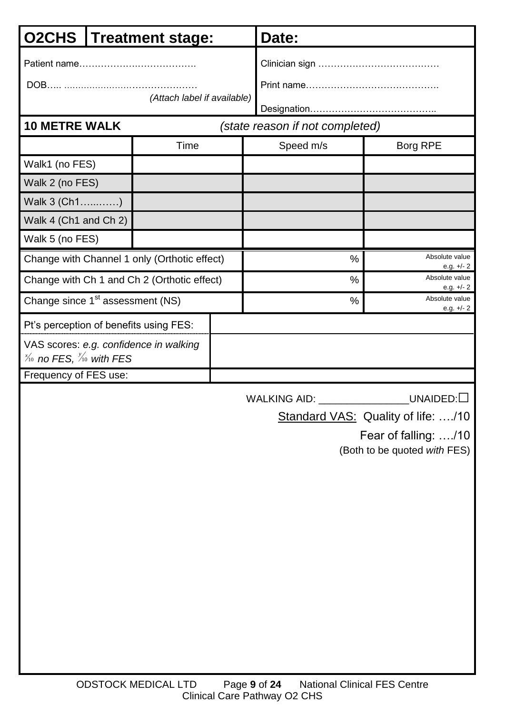| O2CHS  <br><b>Treatment stage:</b>                                                     |  | Date:                                        |      |                                 |                                |
|----------------------------------------------------------------------------------------|--|----------------------------------------------|------|---------------------------------|--------------------------------|
|                                                                                        |  |                                              |      |                                 |                                |
|                                                                                        |  | (Attach label if available)                  |      |                                 |                                |
|                                                                                        |  |                                              |      |                                 |                                |
| <b>10 METRE WALK</b>                                                                   |  |                                              |      | (state reason if not completed) |                                |
|                                                                                        |  | Time                                         |      | Speed m/s                       | Borg RPE                       |
| Walk1 (no FES)                                                                         |  |                                              |      |                                 |                                |
| Walk 2 (no FES)                                                                        |  |                                              |      |                                 |                                |
| Walk 3 (Ch1)                                                                           |  |                                              |      |                                 |                                |
| Walk 4 (Ch1 and Ch 2)                                                                  |  |                                              |      |                                 |                                |
| Walk 5 (no FES)                                                                        |  |                                              |      |                                 |                                |
|                                                                                        |  | Change with Channel 1 only (Orthotic effect) |      | $\frac{0}{0}$                   | Absolute value<br>e.g. $+/- 2$ |
|                                                                                        |  | Change with Ch 1 and Ch 2 (Orthotic effect)  |      | %                               | Absolute value<br>e.g. $+/- 2$ |
| Change since 1 <sup>st</sup> assessment (NS)                                           |  |                                              | $\%$ | Absolute value<br>e.g. $+/- 2$  |                                |
|                                                                                        |  | Pt's perception of benefits using FES:       |      |                                 |                                |
| $\frac{\cancel{y}_0}{\cancel{10}}$ no FES, $\frac{\cancel{y}_0}{\cancel{10}}$ with FES |  | VAS scores: e.g. confidence in walking       |      |                                 |                                |
| Frequency of FES use:                                                                  |  |                                              |      |                                 |                                |
|                                                                                        |  |                                              |      | WALKING AID: _______            | <b>UNAIDED:</b>                |

Standard VAS: Quality of life: ..../10

 Fear of falling: …./10 (Both to be quoted *with* FES)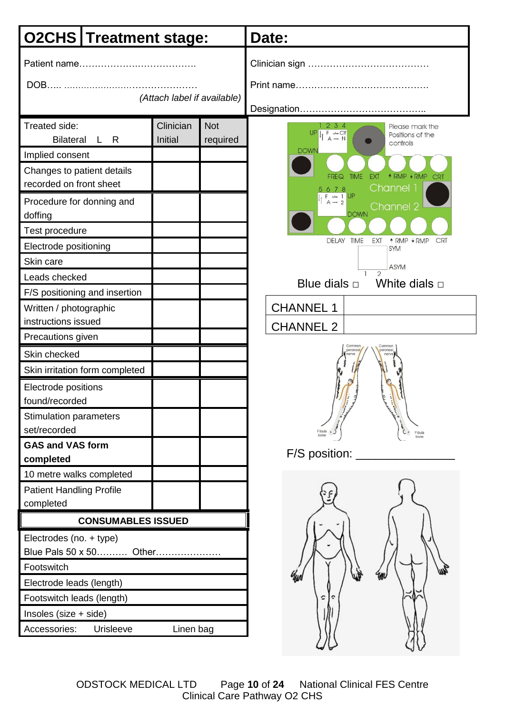| <b>O2CHS Treatment stage:</b>                                                                                                                                                                                                                                                                                           |                      |                        | Date:                                                                                                                                                                                                                                                                                                                                                                                                                                                                                                                                      |  |  |
|-------------------------------------------------------------------------------------------------------------------------------------------------------------------------------------------------------------------------------------------------------------------------------------------------------------------------|----------------------|------------------------|--------------------------------------------------------------------------------------------------------------------------------------------------------------------------------------------------------------------------------------------------------------------------------------------------------------------------------------------------------------------------------------------------------------------------------------------------------------------------------------------------------------------------------------------|--|--|
| (Attach label if available)                                                                                                                                                                                                                                                                                             |                      |                        |                                                                                                                                                                                                                                                                                                                                                                                                                                                                                                                                            |  |  |
| Treated side:<br><b>Bilateral</b><br>L R<br>Implied consent<br>Changes to patient details<br>recorded on front sheet<br>Procedure for donning and<br>doffing<br>Test procedure<br>Electrode positioning<br>Skin care<br>Leads checked<br>F/S positioning and insertion<br>Written / photographic<br>instructions issued | Clinician<br>Initial | <b>Not</b><br>required | 234<br>Please mark the<br>$\begin{array}{c} \n\mathsf{UP} \parallel_{\uparrow} \mathsf{F} \twoheadrightarrow \mathsf{C} \mathsf{If} \\ \n\mathsf{A} \rightarrow \mathsf{N} \end{array}$<br>Positions of the<br>controls<br><b>DOWN</b><br><b>TIME</b><br>↑ RMP ↓ RMP<br><b>EXT</b><br>CRT<br>FREQ<br>Channel 1<br>5678<br>$F \rightarrow 1$ $A - 2$ UP<br>Channel 2<br><b>DOWN</b><br>DELAY TIME<br><b>EXT</b><br>↑ RMP VRMP<br>CRT<br><b>SYM</b><br>ASYM<br>$\overline{2}$<br>White dials $\Box$<br>Blue dials $\Box$<br><b>CHANNEL 1</b> |  |  |
| Precautions given<br>Skin checked<br>Skin irritation form completed<br>Electrode positions<br>found/recorded<br><b>Stimulation parameters</b><br>set/recorded<br><b>GAS and VAS form</b><br>completed                                                                                                                   |                      |                        | <b>CHANNEL 2</b><br>Common<br>Commor<br>peroneal<br>Fibula 4<br>Fibula<br>bone<br>F/S position: __                                                                                                                                                                                                                                                                                                                                                                                                                                         |  |  |
| 10 metre walks completed<br><b>Patient Handling Profile</b><br>completed<br><b>CONSUMABLES ISSUED</b><br>Electrodes (no. + type)<br>Blue Pals 50 x 50 Other<br>Footswitch<br>Electrode leads (length)<br>Footswitch leads (length)<br>Insoles (size + side)<br>Accessories:<br>Urisleeve                                | Linen bag            |                        | c                                                                                                                                                                                                                                                                                                                                                                                                                                                                                                                                          |  |  |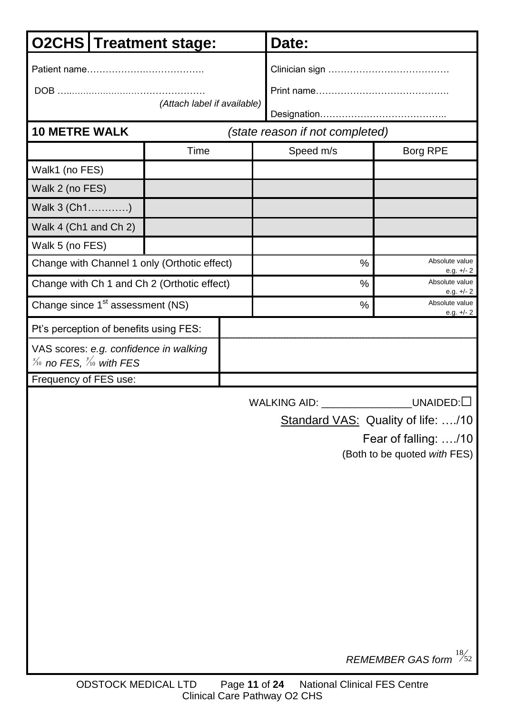| <b>O2CHS Treatment stage:</b>                                                          |                             |  | Date:                           |                                    |  |
|----------------------------------------------------------------------------------------|-----------------------------|--|---------------------------------|------------------------------------|--|
|                                                                                        |                             |  |                                 |                                    |  |
|                                                                                        |                             |  |                                 |                                    |  |
|                                                                                        | (Attach label if available) |  |                                 |                                    |  |
| <b>10 METRE WALK</b>                                                                   |                             |  | (state reason if not completed) |                                    |  |
|                                                                                        | Time                        |  | Speed m/s                       | Borg RPE                           |  |
| Walk1 (no FES)                                                                         |                             |  |                                 |                                    |  |
| Walk 2 (no FES)                                                                        |                             |  |                                 |                                    |  |
| Walk 3 (Ch1)                                                                           |                             |  |                                 |                                    |  |
| Walk 4 (Ch1 and Ch 2)                                                                  |                             |  |                                 |                                    |  |
| Walk 5 (no FES)                                                                        |                             |  |                                 |                                    |  |
| Change with Channel 1 only (Orthotic effect)                                           |                             |  | %                               | Absolute value<br>e.g. $+/- 2$     |  |
| Change with Ch 1 and Ch 2 (Orthotic effect)                                            |                             |  | %                               | Absolute value<br>e.g. $+/- 2$     |  |
| Change since 1 <sup>st</sup> assessment (NS)                                           |                             |  | %                               | Absolute value<br>e.g. $+/- 2$     |  |
| Pt's perception of benefits using FES:                                                 |                             |  |                                 |                                    |  |
| VAS scores: e.g. confidence in walking                                                 |                             |  |                                 |                                    |  |
| $\frac{\cancel{y_0}}{\cancel{10}}$ no FES, $\frac{\cancel{y_0}}{\cancel{10}}$ with FES |                             |  |                                 |                                    |  |
| Frequency of FES use:                                                                  |                             |  |                                 |                                    |  |
|                                                                                        |                             |  | <b>WALKING AID:</b>             | $\_$ UNAIDED: $\Box$               |  |
|                                                                                        |                             |  |                                 | Standard VAS: Quality of life: /10 |  |
|                                                                                        |                             |  |                                 | Fear of falling: /10               |  |
|                                                                                        |                             |  |                                 | (Both to be quoted with FES)       |  |
|                                                                                        |                             |  |                                 |                                    |  |
|                                                                                        |                             |  |                                 |                                    |  |
|                                                                                        |                             |  |                                 |                                    |  |
|                                                                                        |                             |  |                                 |                                    |  |
|                                                                                        |                             |  |                                 |                                    |  |
|                                                                                        |                             |  |                                 |                                    |  |

*REMEMBER GAS form* 52 18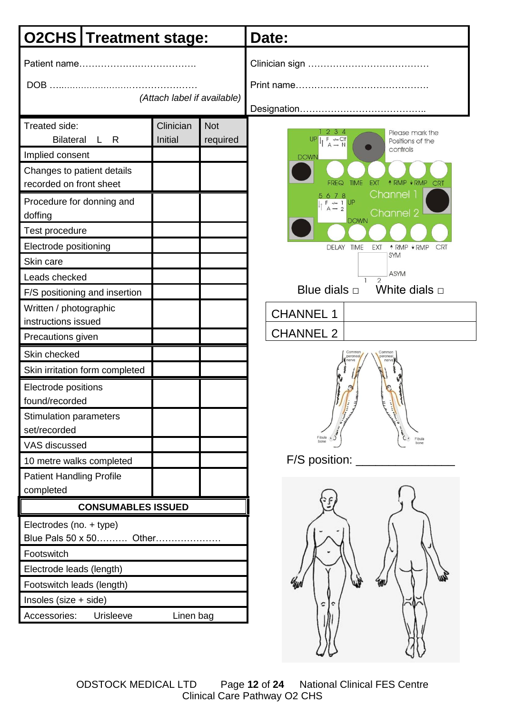|                                                                                                                                                                                                                                               | <b>O2CHS Treatment stage:</b> |                        | Date:                                                                                                                                                                                                                                                                                                                                                                                                                                                          |  |  |
|-----------------------------------------------------------------------------------------------------------------------------------------------------------------------------------------------------------------------------------------------|-------------------------------|------------------------|----------------------------------------------------------------------------------------------------------------------------------------------------------------------------------------------------------------------------------------------------------------------------------------------------------------------------------------------------------------------------------------------------------------------------------------------------------------|--|--|
| (Attach label if available)                                                                                                                                                                                                                   |                               |                        |                                                                                                                                                                                                                                                                                                                                                                                                                                                                |  |  |
| Treated side:<br><b>Bilateral</b><br>L R<br>Implied consent<br>Changes to patient details<br>recorded on front sheet<br>Procedure for donning and<br>doffing<br>Test procedure<br>Electrode positioning<br>Skin care<br>Leads checked         | Clinician<br><b>Initial</b>   | <b>Not</b><br>required | 234<br>Please mark the<br>$\begin{array}{ccc}\nF & \twoheadrightarrow & \text{Clf} \\ A & \rightarrow & N\n\end{array}$<br>UP<br>Positions of the<br>controls<br><b>DOWN</b><br><b>TIME</b><br>EXT<br><b><i><u>ARMP VRMP</u></i></b> CRT<br>FREQ<br>Channel 1<br>5678<br>$F \rightarrow 1$ UP<br>$A \rightarrow 2$<br>Channel 2<br><b>DOWN</b><br><b>DELAY</b><br><b>TIME</b><br>EXT<br>↑ RMP VRMP<br><b>CRT</b><br><b>SYM</b><br><b>ASYM</b><br>$\mathcal{D}$ |  |  |
| F/S positioning and insertion                                                                                                                                                                                                                 |                               |                        | White dials $\Box$<br>Blue dials $\square$                                                                                                                                                                                                                                                                                                                                                                                                                     |  |  |
| Written / photographic<br>instructions issued                                                                                                                                                                                                 |                               |                        | <b>CHANNEL 1</b><br><b>CHANNEL 2</b>                                                                                                                                                                                                                                                                                                                                                                                                                           |  |  |
| Precautions given<br>Skin checked<br>Skin irritation form completed<br>Electrode positions<br>found/recorded<br><b>Stimulation parameters</b><br>set/recorded<br>VAS discussed<br>10 metre walks completed<br><b>Patient Handling Profile</b> |                               |                        | Commo<br>peronea<br>Fibula<br>Fibula<br>bone<br>$F/S$ position:                                                                                                                                                                                                                                                                                                                                                                                                |  |  |
| completed<br><b>CONSUMABLES ISSUED</b><br>Electrodes (no. + type)<br>Blue Pals 50 x 50 Other<br>Footswitch<br>Electrode leads (length)<br>Footswitch leads (length)<br>Insoles (size + side)<br>Accessories:<br>Urisleeve                     | Linen bag                     |                        |                                                                                                                                                                                                                                                                                                                                                                                                                                                                |  |  |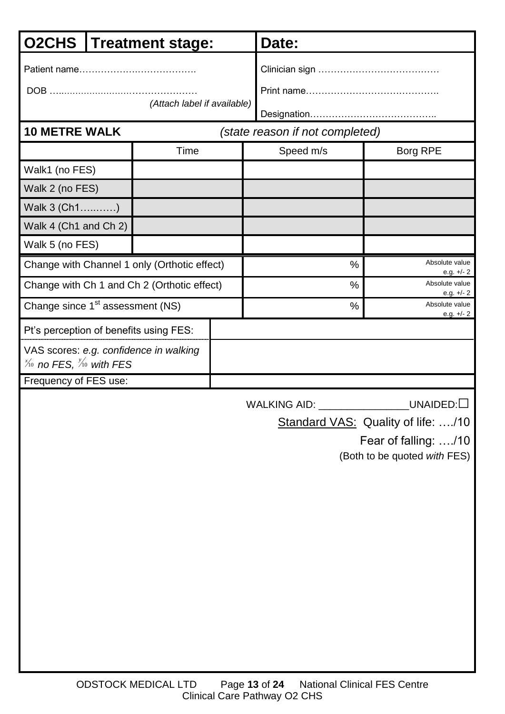| <b>O2CHS</b>                                                                                                       |  | <b>Treatment stage:</b>                      |  | Date:                           |                                |  |
|--------------------------------------------------------------------------------------------------------------------|--|----------------------------------------------|--|---------------------------------|--------------------------------|--|
| (Attach label if available)                                                                                        |  |                                              |  |                                 |                                |  |
| <b>10 METRE WALK</b>                                                                                               |  |                                              |  | (state reason if not completed) |                                |  |
|                                                                                                                    |  | Time                                         |  | Speed m/s                       | Borg RPE                       |  |
| Walk1 (no FES)                                                                                                     |  |                                              |  |                                 |                                |  |
| Walk 2 (no FES)                                                                                                    |  |                                              |  |                                 |                                |  |
| Walk 3 (Ch1)                                                                                                       |  |                                              |  |                                 |                                |  |
| Walk 4 (Ch1 and Ch 2)                                                                                              |  |                                              |  |                                 |                                |  |
| Walk 5 (no FES)                                                                                                    |  |                                              |  |                                 |                                |  |
|                                                                                                                    |  | Change with Channel 1 only (Orthotic effect) |  | $\frac{0}{0}$                   | Absolute value<br>e.g. $+/- 2$ |  |
|                                                                                                                    |  | Change with Ch 1 and Ch 2 (Orthotic effect)  |  | $\frac{0}{0}$                   | Absolute value<br>e.g. $+/-2$  |  |
| Change since 1 <sup>st</sup> assessment (NS)                                                                       |  |                                              |  | $\frac{0}{0}$                   | Absolute value<br>e.g. $+/-2$  |  |
| Pt's perception of benefits using FES:                                                                             |  |                                              |  |                                 |                                |  |
| VAS scores: e.g. confidence in walking<br>$\frac{\chi_{0}}{\chi_{0}}$ no FES, $\frac{\chi_{0}}{\chi_{0}}$ with FES |  |                                              |  |                                 |                                |  |
| Frequency of FES use:                                                                                              |  |                                              |  |                                 |                                |  |

Standard VAS: Quality of life: ..../10

Fear of falling: …./10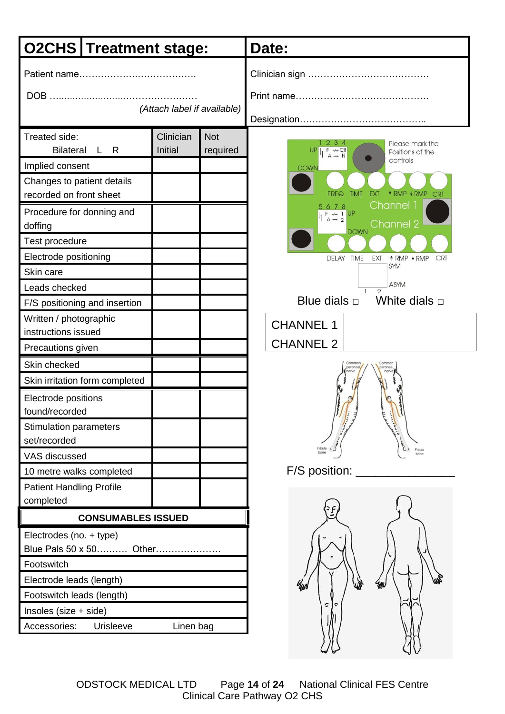| <b>O2CHS Treatment stage:</b>                                                                                                                                                                                        |                             |                        | Date:                                                                                                                                                                                                                                                                                                                                                                                                                                                                   |  |  |
|----------------------------------------------------------------------------------------------------------------------------------------------------------------------------------------------------------------------|-----------------------------|------------------------|-------------------------------------------------------------------------------------------------------------------------------------------------------------------------------------------------------------------------------------------------------------------------------------------------------------------------------------------------------------------------------------------------------------------------------------------------------------------------|--|--|
| (Attach label if available)                                                                                                                                                                                          |                             |                        |                                                                                                                                                                                                                                                                                                                                                                                                                                                                         |  |  |
| Treated side:<br><b>Bilateral</b><br>L R<br>Implied consent<br>Changes to patient details<br>recorded on front sheet<br>Procedure for donning and<br>doffing<br>Test procedure<br>Electrode positioning<br>Skin care | Clinician<br><b>Initial</b> | <b>Not</b><br>required | 2 3 4<br>Please mark the<br>UP <sub>1</sub><br>$\begin{array}{c} \mathsf{F} \quad \xleftarrow{\sim} \mathsf{Clf} \\ \mathsf{A} \rightarrow \mathsf{N} \end{array}$<br>Positions of the<br>controls<br><b>DOWN</b><br><b>TIME</b><br><b>EXT</b><br><b><i><u>ARMP VRMP</u></i></b> CRT<br><b>FREQ</b><br>Channel 1<br>5678<br>$F \rightarrow 1$ UP<br>$A - 2$<br>Channel 2<br><b>DOWN</b><br><b>TIME</b><br>↑ RMP VRMP<br><b>DELAY</b><br>EXT<br><b>CRT</b><br><b>SYM</b> |  |  |
| Leads checked<br>F/S positioning and insertion                                                                                                                                                                       |                             |                        | <b>ASYM</b><br>$\mathcal{D}$<br>Blue dials $\Box$ White dials $\Box$                                                                                                                                                                                                                                                                                                                                                                                                    |  |  |
| Written / photographic<br>instructions issued                                                                                                                                                                        |                             |                        | <b>CHANNEL 1</b>                                                                                                                                                                                                                                                                                                                                                                                                                                                        |  |  |
| Precautions given                                                                                                                                                                                                    |                             |                        | <b>CHANNEL 2</b>                                                                                                                                                                                                                                                                                                                                                                                                                                                        |  |  |
| Skin checked<br>Skin irritation form completed<br>Electrode positions<br>found/recorded<br><b>Stimulation parameters</b><br>set/recorded<br>VAS discussed<br>10 metre walks completed                                |                             |                        | Common<br>Common<br>peroneal<br>peronea<br>Fibula<br>bon<br>F/S position:                                                                                                                                                                                                                                                                                                                                                                                               |  |  |
| <b>Patient Handling Profile</b>                                                                                                                                                                                      |                             |                        |                                                                                                                                                                                                                                                                                                                                                                                                                                                                         |  |  |
| completed<br><b>CONSUMABLES ISSUED</b>                                                                                                                                                                               |                             |                        |                                                                                                                                                                                                                                                                                                                                                                                                                                                                         |  |  |
| Electrodes (no. + type)<br>Blue Pals 50 x 50 Other<br>Footswitch<br>Electrode leads (length)<br>Footswitch leads (length)<br>Insoles (size + side)<br>Accessories:<br>Urisleeve                                      | Linen bag                   |                        |                                                                                                                                                                                                                                                                                                                                                                                                                                                                         |  |  |

ODSTOCK MEDICAL LTD Page **14** of **24** National Clinical FES Centre Clinical Care Pathway O2 CHS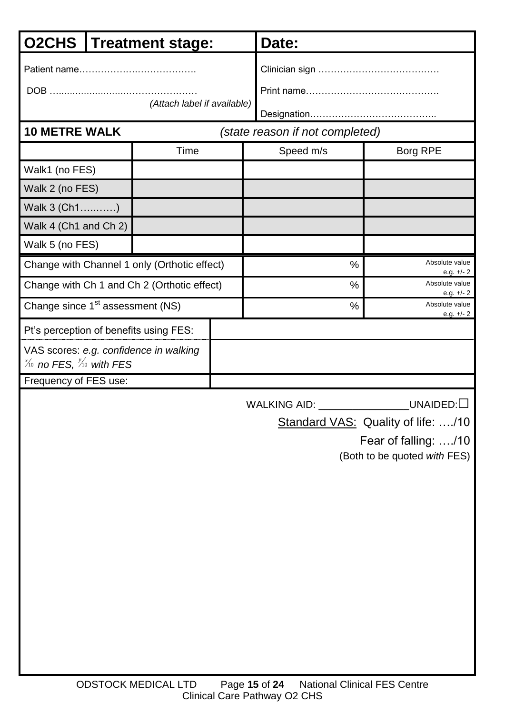| <b>O2CHS</b>                                                                                                       |  | <b>Treatment stage:</b>                      |  | Date:                           |                                |
|--------------------------------------------------------------------------------------------------------------------|--|----------------------------------------------|--|---------------------------------|--------------------------------|
|                                                                                                                    |  |                                              |  |                                 |                                |
|                                                                                                                    |  |                                              |  |                                 |                                |
|                                                                                                                    |  | (Attach label if available)                  |  |                                 |                                |
| <b>10 METRE WALK</b>                                                                                               |  |                                              |  | (state reason if not completed) |                                |
|                                                                                                                    |  | Time                                         |  | Speed m/s                       | Borg RPE                       |
| Walk1 (no FES)                                                                                                     |  |                                              |  |                                 |                                |
| Walk 2 (no FES)                                                                                                    |  |                                              |  |                                 |                                |
| Walk 3 (Ch1)                                                                                                       |  |                                              |  |                                 |                                |
| Walk 4 (Ch1 and Ch 2)                                                                                              |  |                                              |  |                                 |                                |
| Walk 5 (no FES)                                                                                                    |  |                                              |  |                                 |                                |
|                                                                                                                    |  | Change with Channel 1 only (Orthotic effect) |  | $\frac{0}{0}$                   | Absolute value<br>e.g. $+/- 2$ |
|                                                                                                                    |  | Change with Ch 1 and Ch 2 (Orthotic effect)  |  | $\frac{0}{0}$                   | Absolute value<br>e.g. $+/- 2$ |
| Change since 1 <sup>st</sup> assessment (NS)                                                                       |  |                                              |  | $\frac{0}{0}$                   | Absolute value<br>e.g. $+/-2$  |
| Pt's perception of benefits using FES:                                                                             |  |                                              |  |                                 |                                |
| VAS scores: e.g. confidence in walking<br>$\frac{\chi_{0}}{\chi_{0}}$ no FES, $\frac{\chi_{0}}{\chi_{0}}$ with FES |  |                                              |  |                                 |                                |
| Frequency of FES use:                                                                                              |  |                                              |  |                                 |                                |

Standard VAS: Quality of life: ..../10

Fear of falling: …./10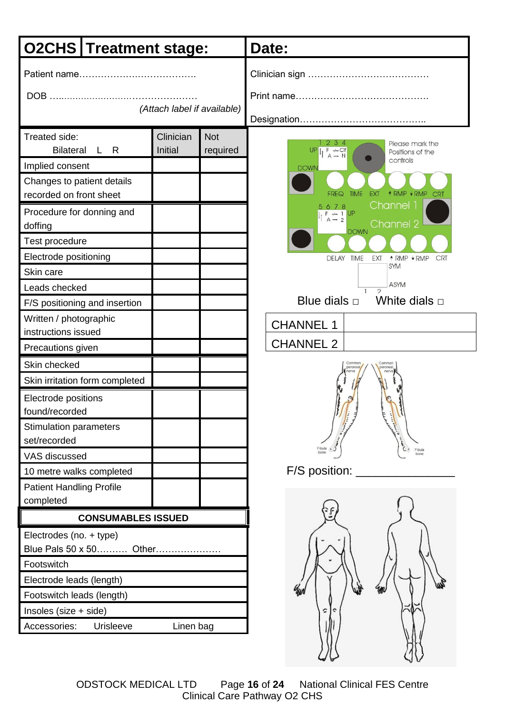| <b>O2CHS Treatment stage:</b>                                                                                                                                                                                            |                             |                        | Date:                                                                                                                                                                                                                                                                                                                                                                          |  |  |
|--------------------------------------------------------------------------------------------------------------------------------------------------------------------------------------------------------------------------|-----------------------------|------------------------|--------------------------------------------------------------------------------------------------------------------------------------------------------------------------------------------------------------------------------------------------------------------------------------------------------------------------------------------------------------------------------|--|--|
| (Attach label if available)                                                                                                                                                                                              |                             |                        |                                                                                                                                                                                                                                                                                                                                                                                |  |  |
| Treated side:<br><b>Bilateral</b><br>L R<br>Implied consent<br>Changes to patient details<br>recorded on front sheet<br>Procedure for donning and<br>doffing<br>Test procedure                                           | Clinician<br><b>Initial</b> | <b>Not</b><br>required | 234<br>Please mark the<br>UP<br>$\begin{array}{c} \mathsf{F} \ \twoheadrightarrow\hspace*{-1mm} \mathsf{CIF} \\ \mathsf{A} \to \mathsf{N} \end{array}$<br>Positions of the<br>controls<br><b>DOWN</b><br><b>TIME</b><br><b>EXT</b><br><b><i><u>ARMP VRMP</u></i></b> CRT<br>FREQ<br>Channel 1<br>5678<br>$F \rightarrow 1$ UP<br>$A \rightarrow 2$<br>Channel 2<br><b>DOWN</b> |  |  |
| Electrode positioning<br>Skin care<br>Leads checked<br>F/S positioning and insertion                                                                                                                                     |                             |                        | <b>TIME</b><br><b>DELAY</b><br>EXT<br>↑ RMP VRMP<br><b>CRT</b><br><b>SYM</b><br><b>ASYM</b><br>$\overline{2}$<br>Blue dials $\Box$ White dials $\Box$                                                                                                                                                                                                                          |  |  |
| Written / photographic<br>instructions issued                                                                                                                                                                            |                             |                        | <b>CHANNEL 1</b>                                                                                                                                                                                                                                                                                                                                                               |  |  |
| Precautions given                                                                                                                                                                                                        |                             |                        | <b>CHANNEL 2</b>                                                                                                                                                                                                                                                                                                                                                               |  |  |
| Skin checked<br>Skin irritation form completed<br>Electrode positions<br>found/recorded<br><b>Stimulation parameters</b><br>set/recorded<br>VAS discussed<br>10 metre walks completed<br><b>Patient Handling Profile</b> |                             |                        | Common<br>Common<br>peronea<br>peronea<br>Fibula<br>F/S position:                                                                                                                                                                                                                                                                                                              |  |  |
| completed<br>Electrodes (no. + type)<br>Blue Pals 50 x 50 Other<br>Footswitch                                                                                                                                            | <b>CONSUMABLES ISSUED</b>   |                        |                                                                                                                                                                                                                                                                                                                                                                                |  |  |
| Electrode leads (length)<br>Footswitch leads (length)<br>Insoles (size + side)<br>Accessories:<br>Urisleeve                                                                                                              | Linen bag                   |                        | c                                                                                                                                                                                                                                                                                                                                                                              |  |  |

ODSTOCK MEDICAL LTD Page **16** of **24** National Clinical FES Centre Clinical Care Pathway O2 CHS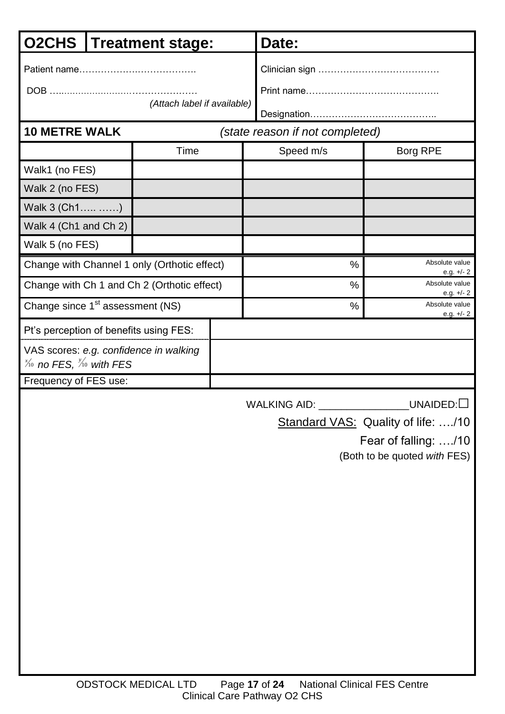| <b>O2CHS</b>                                                                                                       |  | <b>Treatment stage:</b>                      |  | Date:                           |                                |  |
|--------------------------------------------------------------------------------------------------------------------|--|----------------------------------------------|--|---------------------------------|--------------------------------|--|
| (Attach label if available)                                                                                        |  |                                              |  |                                 |                                |  |
| <b>10 METRE WALK</b>                                                                                               |  |                                              |  | (state reason if not completed) |                                |  |
|                                                                                                                    |  | Time                                         |  | Speed m/s                       | Borg RPE                       |  |
| Walk1 (no FES)                                                                                                     |  |                                              |  |                                 |                                |  |
| Walk 2 (no FES)                                                                                                    |  |                                              |  |                                 |                                |  |
| Walk 3 (Ch1 )                                                                                                      |  |                                              |  |                                 |                                |  |
| Walk 4 (Ch1 and Ch 2)                                                                                              |  |                                              |  |                                 |                                |  |
| Walk 5 (no FES)                                                                                                    |  |                                              |  |                                 |                                |  |
|                                                                                                                    |  | Change with Channel 1 only (Orthotic effect) |  | $\frac{0}{0}$                   | Absolute value<br>e.g. $+/- 2$ |  |
|                                                                                                                    |  | Change with Ch 1 and Ch 2 (Orthotic effect)  |  | $\frac{0}{0}$                   | Absolute value<br>e.g. $+/-2$  |  |
| Change since 1 <sup>st</sup> assessment (NS)                                                                       |  |                                              |  | $\frac{0}{0}$                   | Absolute value<br>e.g. $+/-2$  |  |
| Pt's perception of benefits using FES:                                                                             |  |                                              |  |                                 |                                |  |
| VAS scores: e.g. confidence in walking<br>$\frac{\chi_{0}}{\chi_{0}}$ no FES, $\frac{\chi_{0}}{\chi_{0}}$ with FES |  |                                              |  |                                 |                                |  |
| Frequency of FES use:                                                                                              |  |                                              |  |                                 |                                |  |

Standard VAS: Quality of life: ..../10

Fear of falling: …./10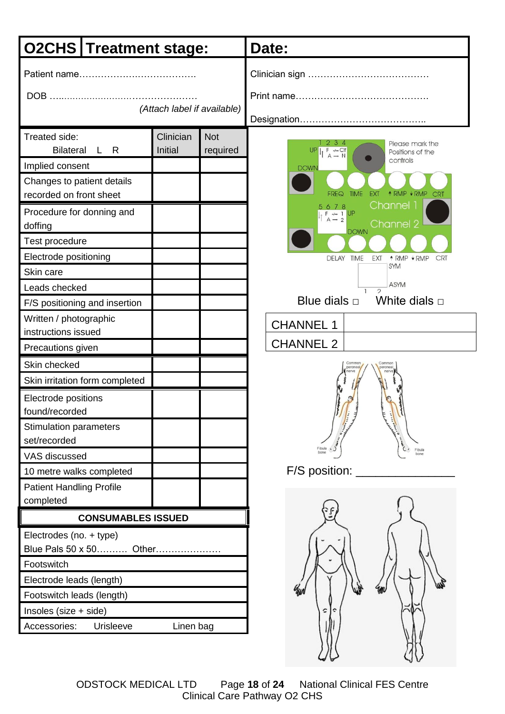|                                                                                                                                                                                        | <b>O2CHS Treatment stage:</b>        |                             |                        | Date:                                                                                                                                                                                                                                                                                                                                                                                       |  |  |
|----------------------------------------------------------------------------------------------------------------------------------------------------------------------------------------|--------------------------------------|-----------------------------|------------------------|---------------------------------------------------------------------------------------------------------------------------------------------------------------------------------------------------------------------------------------------------------------------------------------------------------------------------------------------------------------------------------------------|--|--|
| (Attach label if available)                                                                                                                                                            |                                      |                             |                        |                                                                                                                                                                                                                                                                                                                                                                                             |  |  |
| Treated side:<br><b>Bilateral</b><br>Implied consent<br>Changes to patient details<br>recorded on front sheet<br>Procedure for donning and<br>doffing<br>Test procedure                | L R                                  | Clinician<br><b>Initial</b> | <b>Not</b><br>required | 234<br>Please mark the<br>UPL<br>$\begin{array}{c} \mathsf{F} \ \xleftarrow{\hspace*{1.5pt}} \mathsf{C}\mathsf{lf} \\ \mathsf{A} \to \mathsf{N} \end{array}$<br>Positions of the<br>controls<br><b>DOWN</b><br><b>TIME</b><br><b>EXT</b><br><b><i><u>ARMP VRMP</u></i></b> CRT<br><b>FREQ</b><br>Channel 1<br>5678<br>$F \rightarrow 1$ UP<br>$A \rightarrow 2$<br>Channel 2<br><b>DOWN</b> |  |  |
| Electrode positioning<br>Skin care<br>Leads checked                                                                                                                                    | F/S positioning and insertion        |                             |                        | <b>TIME</b><br><b>DELAY</b><br>EXT<br><b>A RMP + RMP</b><br><b>CRT</b><br><b>SYM</b><br><b>ASYM</b><br>$\overline{2}$<br>Blue dials $\Box$ White dials $\Box$                                                                                                                                                                                                                               |  |  |
| Written / photographic                                                                                                                                                                 |                                      |                             |                        | <b>CHANNEL 1</b>                                                                                                                                                                                                                                                                                                                                                                            |  |  |
| instructions issued<br>Precautions given                                                                                                                                               |                                      |                             |                        | <b>CHANNEL 2</b>                                                                                                                                                                                                                                                                                                                                                                            |  |  |
| Skin checked<br>Electrode positions<br>found/recorded<br><b>Stimulation parameters</b><br>set/recorded<br>VAS discussed<br>10 metre walks completed<br><b>Patient Handling Profile</b> | Skin irritation form completed       |                             |                        | Common<br>Commor<br>peroneal<br>peronea<br>Fibula<br>bon<br>F/S position:                                                                                                                                                                                                                                                                                                                   |  |  |
| completed                                                                                                                                                                              | <b>CONSUMABLES ISSUED</b>            |                             |                        |                                                                                                                                                                                                                                                                                                                                                                                             |  |  |
| Electrodes (no. + type)<br>Footswitch<br>Electrode leads (length)<br>Footswitch leads (length)<br>Insoles (size + side)<br>Accessories:                                                | Blue Pals 50 x 50 Other<br>Urisleeve | Linen bag                   |                        | ς                                                                                                                                                                                                                                                                                                                                                                                           |  |  |

ODSTOCK MEDICAL LTD Page **18** of **24** National Clinical FES Centre Clinical Care Pathway O2 CHS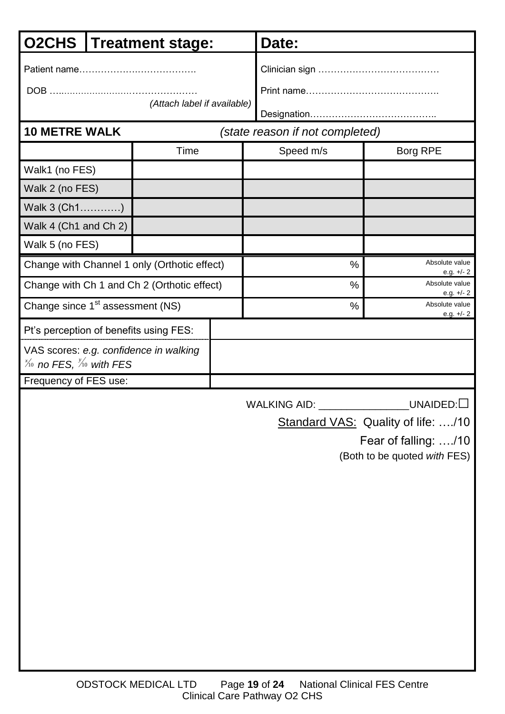| <b>O2CHS</b>                                                                                                           |  | <b>Treatment stage:</b>                      |  | Date:                           |                                |  |
|------------------------------------------------------------------------------------------------------------------------|--|----------------------------------------------|--|---------------------------------|--------------------------------|--|
| (Attach label if available)                                                                                            |  |                                              |  |                                 |                                |  |
| <b>10 METRE WALK</b>                                                                                                   |  |                                              |  | (state reason if not completed) |                                |  |
|                                                                                                                        |  | Time                                         |  | Speed m/s                       | <b>Borg RPE</b>                |  |
| Walk1 (no FES)                                                                                                         |  |                                              |  |                                 |                                |  |
| Walk 2 (no FES)                                                                                                        |  |                                              |  |                                 |                                |  |
| Walk 3 (Ch1)                                                                                                           |  |                                              |  |                                 |                                |  |
| Walk 4 (Ch1 and Ch 2)                                                                                                  |  |                                              |  |                                 |                                |  |
| Walk 5 (no FES)                                                                                                        |  |                                              |  |                                 |                                |  |
|                                                                                                                        |  | Change with Channel 1 only (Orthotic effect) |  | $\frac{0}{0}$                   | Absolute value<br>e.g. $+/- 2$ |  |
|                                                                                                                        |  | Change with Ch 1 and Ch 2 (Orthotic effect)  |  | $\frac{0}{0}$                   | Absolute value<br>e.g. $+/-2$  |  |
| Change since 1 <sup>st</sup> assessment (NS)                                                                           |  |                                              |  | $\frac{0}{0}$                   | Absolute value<br>e.g. $+/- 2$ |  |
| Pt's perception of benefits using FES:                                                                                 |  |                                              |  |                                 |                                |  |
| VAS scores: e.g. confidence in walking<br>$\frac{\chi_{10}}{\chi_{10}}$ no FES, $\frac{\chi_{10}}{\chi_{10}}$ with FES |  |                                              |  |                                 |                                |  |
| Frequency of FES use:                                                                                                  |  |                                              |  |                                 |                                |  |

Standard VAS: Quality of life: ..../10

Fear of falling: …./10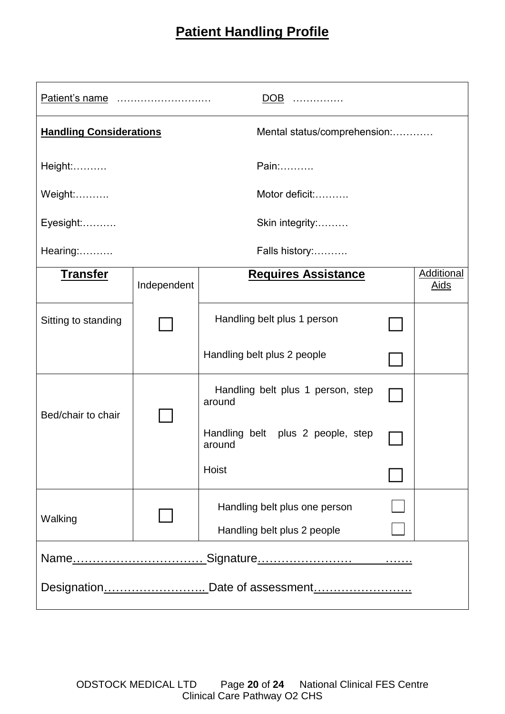## **Patient Handling Profile**

| DOB                            |             |                                             |  |                           |  |  |  |  |
|--------------------------------|-------------|---------------------------------------------|--|---------------------------|--|--|--|--|
| <b>Handling Considerations</b> |             | Mental status/comprehension:                |  |                           |  |  |  |  |
| Height:                        | Pain:       |                                             |  |                           |  |  |  |  |
| Motor deficit:<br>Weight:      |             |                                             |  |                           |  |  |  |  |
| Eyesight:<br>Skin integrity:   |             |                                             |  |                           |  |  |  |  |
| Hearing:<br>Falls history:     |             |                                             |  |                           |  |  |  |  |
| <b>Transfer</b>                | Independent | <b>Requires Assistance</b>                  |  | Additional<br><u>Aids</u> |  |  |  |  |
| Sitting to standing            |             | Handling belt plus 1 person                 |  |                           |  |  |  |  |
|                                |             | Handling belt plus 2 people                 |  |                           |  |  |  |  |
| Bed/chair to chair             |             | Handling belt plus 1 person, step<br>around |  |                           |  |  |  |  |
|                                |             | Handling belt plus 2 people, step<br>around |  |                           |  |  |  |  |
|                                |             | Hoist                                       |  |                           |  |  |  |  |
| Walking                        |             | Handling belt plus one person               |  |                           |  |  |  |  |
|                                |             | Handling belt plus 2 people                 |  |                           |  |  |  |  |
|                                |             |                                             |  |                           |  |  |  |  |
|                                |             |                                             |  |                           |  |  |  |  |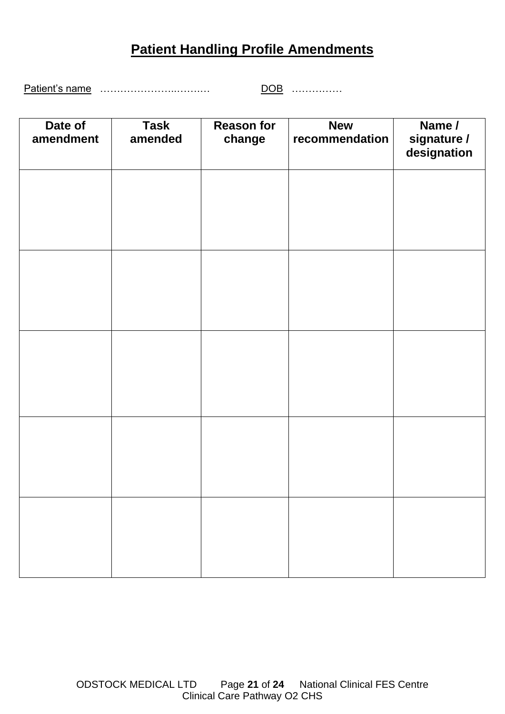## **Patient Handling Profile Amendments**

Patient's name …………………..…….… DOB ……………

| Date of<br>amendment | <b>Task</b><br>amended | <b>Reason for</b><br>change | <b>New</b><br>recommendation | Name /<br>signature /<br>designation |
|----------------------|------------------------|-----------------------------|------------------------------|--------------------------------------|
|                      |                        |                             |                              |                                      |
|                      |                        |                             |                              |                                      |
|                      |                        |                             |                              |                                      |
|                      |                        |                             |                              |                                      |
|                      |                        |                             |                              |                                      |
|                      |                        |                             |                              |                                      |
|                      |                        |                             |                              |                                      |
|                      |                        |                             |                              |                                      |
|                      |                        |                             |                              |                                      |
|                      |                        |                             |                              |                                      |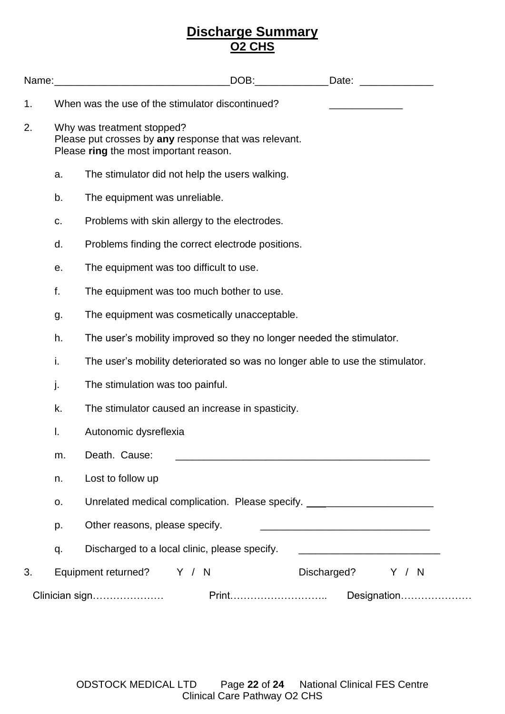### **Discharge Summary O2 CHS**

| Name:          |    |                                                                                                                               |  | DOB: | Date:                                                                              |                                                                                                                      |  |  |
|----------------|----|-------------------------------------------------------------------------------------------------------------------------------|--|------|------------------------------------------------------------------------------------|----------------------------------------------------------------------------------------------------------------------|--|--|
| 1.             |    | When was the use of the stimulator discontinued?                                                                              |  |      |                                                                                    |                                                                                                                      |  |  |
| 2.             |    | Why was treatment stopped?<br>Please put crosses by any response that was relevant.<br>Please ring the most important reason. |  |      |                                                                                    |                                                                                                                      |  |  |
|                | a. | The stimulator did not help the users walking.                                                                                |  |      |                                                                                    |                                                                                                                      |  |  |
|                | b. | The equipment was unreliable.                                                                                                 |  |      |                                                                                    |                                                                                                                      |  |  |
|                | C. | Problems with skin allergy to the electrodes.                                                                                 |  |      |                                                                                    |                                                                                                                      |  |  |
|                | d. | Problems finding the correct electrode positions.                                                                             |  |      |                                                                                    |                                                                                                                      |  |  |
|                | е. | The equipment was too difficult to use.                                                                                       |  |      |                                                                                    |                                                                                                                      |  |  |
|                | f. | The equipment was too much bother to use.                                                                                     |  |      |                                                                                    |                                                                                                                      |  |  |
|                | g. | The equipment was cosmetically unacceptable.                                                                                  |  |      |                                                                                    |                                                                                                                      |  |  |
|                | h. |                                                                                                                               |  |      | The user's mobility improved so they no longer needed the stimulator.              |                                                                                                                      |  |  |
|                | i. |                                                                                                                               |  |      | The user's mobility deteriorated so was no longer able to use the stimulator.      |                                                                                                                      |  |  |
|                | j. | The stimulation was too painful.                                                                                              |  |      |                                                                                    |                                                                                                                      |  |  |
|                | k. | The stimulator caused an increase in spasticity.                                                                              |  |      |                                                                                    |                                                                                                                      |  |  |
|                | I. | Autonomic dysreflexia                                                                                                         |  |      |                                                                                    |                                                                                                                      |  |  |
|                | m. | Death. Cause:                                                                                                                 |  |      |                                                                                    |                                                                                                                      |  |  |
|                | n. | Lost to follow up                                                                                                             |  |      |                                                                                    |                                                                                                                      |  |  |
|                | о. |                                                                                                                               |  |      | Unrelated medical complication. Please specify. ________________________________   |                                                                                                                      |  |  |
|                | p. | Other reasons, please specify.                                                                                                |  |      | <u> 1989 - Johann Barbara, martin da basar da basar da basar da basar da basar</u> |                                                                                                                      |  |  |
|                | q. | Discharged to a local clinic, please specify.                                                                                 |  |      |                                                                                    | <u> 2000 - Jan James James Jan James James James James James James James James James James James James James Jam</u> |  |  |
| 3.             |    | Equipment returned? Y / N                                                                                                     |  |      | Discharged? Y / N                                                                  |                                                                                                                      |  |  |
| Clinician sign |    |                                                                                                                               |  |      |                                                                                    | Designation                                                                                                          |  |  |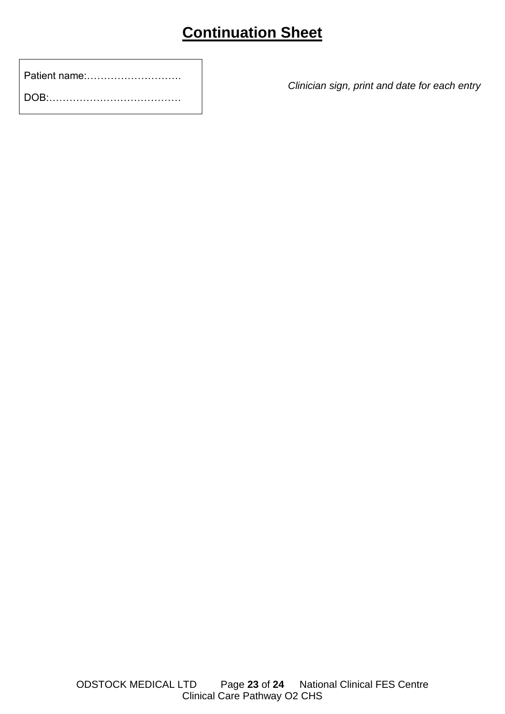# **Continuation Sheet**

| Patient name: |  |
|---------------|--|
|               |  |

*Clinician sign, print and date for each entry*